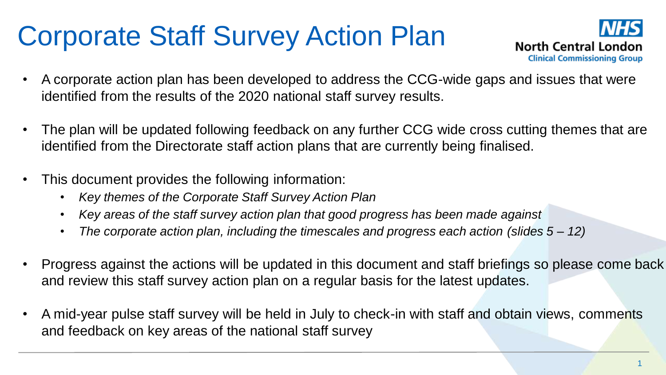## Corporate Staff Survey Action Plan



- A corporate action plan has been developed to address the CCG-wide gaps and issues that were identified from the results of the 2020 national staff survey results.
- The plan will be updated following feedback on any further CCG wide cross cutting themes that are identified from the Directorate staff action plans that are currently being finalised.
- This document provides the following information:
	- *Key themes of the Corporate Staff Survey Action Plan*
	- *Key areas of the staff survey action plan that good progress has been made against*
	- *The corporate action plan, including the timescales and progress each action (slides 5 – 12)*
- Progress against the actions will be updated in this document and staff briefings so please come back and review this staff survey action plan on a regular basis for the latest updates.
- A mid-year pulse staff survey will be held in July to check-in with staff and obtain views, comments and feedback on key areas of the national staff survey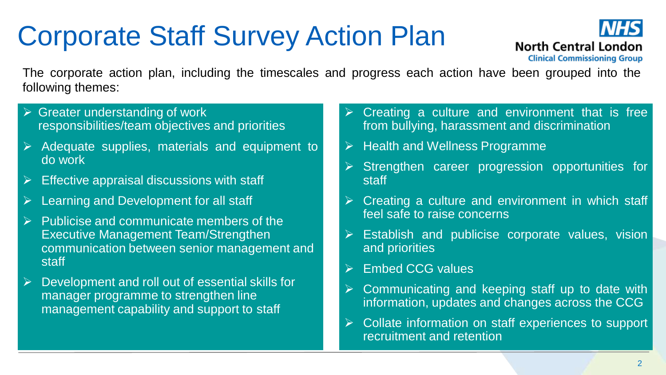## Corporate Staff Survey Action Plan



The corporate action plan, including the timescales and progress each action have been grouped into the following themes:

- $\triangleright$  Greater understanding of work responsibilities/team objectives and priorities
- $\triangleright$  Adequate supplies, materials and equipment to do work
- $\triangleright$  Effective appraisal discussions with staff
- $\triangleright$  Learning and Development for all staff
- Publicise and communicate members of the Executive Management Team/Strengthen communication between senior management and staff
- $\triangleright$  Development and roll out of essential skills for manager programme to strengthen line management capability and support to staff
- $\triangleright$  Creating a culture and environment that is free from bullying, harassment and discrimination
- $\triangleright$  Health and Wellness Programme
- $\triangleright$  Strengthen career progression opportunities for staff
- Creating a culture and environment in which staff feel safe to raise concerns
- Establish and publicise corporate values, vision and priorities
- $\triangleright$  Embed CCG values
- Communicating and keeping staff up to date with information, updates and changes across the CCG
- Collate information on staff experiences to support recruitment and retention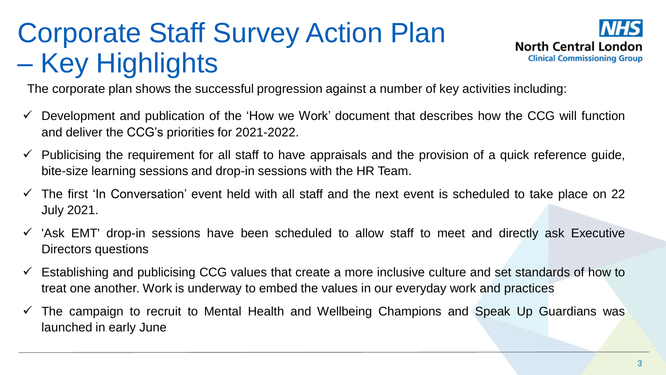## Corporate Staff Survey Action Plan – Key Highlights



The corporate plan shows the successful progression against a number of key activities including:

- $\checkmark$  Development and publication of the 'How we Work' document that describes how the CCG will function and deliver the CCG's priorities for 2021-2022.
- $\checkmark$  Publicising the requirement for all staff to have appraisals and the provision of a quick reference guide, bite-size learning sessions and drop-in sessions with the HR Team.
- $\checkmark$  The first 'In Conversation' event held with all staff and the next event is scheduled to take place on 22 July 2021.
- $\checkmark$  'Ask EMT' drop-in sessions have been scheduled to allow staff to meet and directly ask Executive Directors questions
- $\checkmark$  Establishing and publicising CCG values that create a more inclusive culture and set standards of how to treat one another. Work is underway to embed the values in our everyday work and practices
- $\checkmark$  The campaign to recruit to Mental Health and Wellbeing Champions and Speak Up Guardians was launched in early June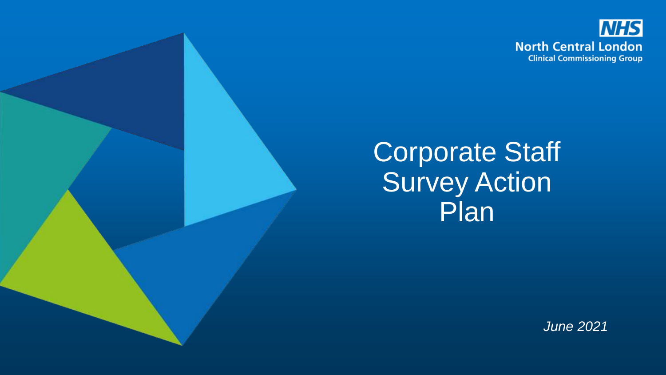

### Corporate Staff **Survey Action** Plan

*June 2021*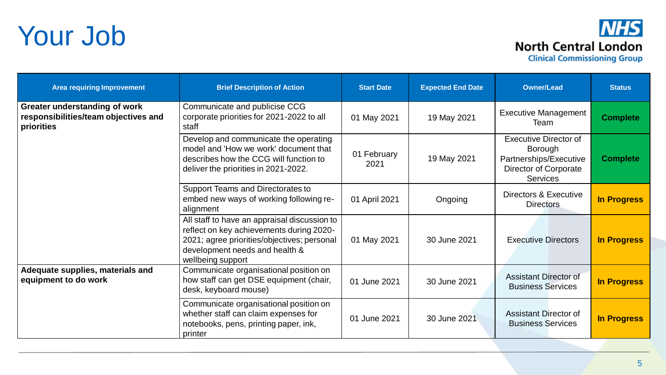### Your Job

### **NHS North Central London Clinical Commissioning Group**

| <b>Area requiring Improvement</b>                                                   | <b>Brief Description of Action</b>                                                                                                                                                             | <b>Start Date</b>   | <b>Expected End Date</b> | <b>Owner/Lead</b>                                                                                                    | <b>Status</b>      |
|-------------------------------------------------------------------------------------|------------------------------------------------------------------------------------------------------------------------------------------------------------------------------------------------|---------------------|--------------------------|----------------------------------------------------------------------------------------------------------------------|--------------------|
| Greater understanding of work<br>responsibilities/team objectives and<br>priorities | Communicate and publicise CCG<br>corporate priorities for 2021-2022 to all<br>staff                                                                                                            | 01 May 2021         | 19 May 2021              | <b>Executive Management</b><br>Team                                                                                  | <b>Complete</b>    |
|                                                                                     | Develop and communicate the operating<br>model and 'How we work' document that<br>describes how the CCG will function to<br>deliver the priorities in 2021-2022.                               | 01 February<br>2021 | 19 May 2021              | <b>Executive Director of</b><br>Borough<br>Partnerships/Executive<br><b>Director of Corporate</b><br><b>Services</b> | <b>Complete</b>    |
|                                                                                     | Support Teams and Directorates to<br>embed new ways of working following re-<br>alignment                                                                                                      | 01 April 2021       | Ongoing                  | Directors & Executive<br><b>Directors</b>                                                                            | <b>In Progress</b> |
|                                                                                     | All staff to have an appraisal discussion to<br>reflect on key achievements during 2020-<br>2021; agree priorities/objectives; personal<br>development needs and health &<br>wellbeing support | 01 May 2021         | 30 June 2021             | <b>Executive Directors</b>                                                                                           | <b>In Progress</b> |
| Adequate supplies, materials and<br>equipment to do work                            | Communicate organisational position on<br>how staff can get DSE equipment (chair,<br>desk, keyboard mouse)                                                                                     | 01 June 2021        | 30 June 2021             | <b>Assistant Director of</b><br><b>Business Services</b>                                                             | <b>In Progress</b> |
|                                                                                     | Communicate organisational position on<br>whether staff can claim expenses for<br>notebooks, pens, printing paper, ink,<br>printer                                                             | 01 June 2021        | 30 June 2021             | <b>Assistant Director of</b><br><b>Business Services</b>                                                             | <b>In Progress</b> |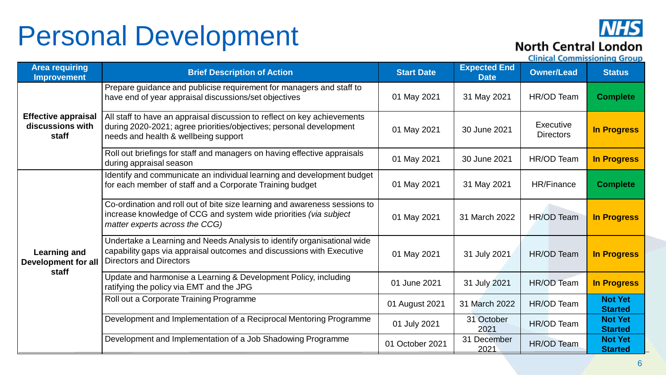### Personal Development



### **North Central London**

| <b>Area requiring</b><br><b>Improvement</b>                | <b>Brief Description of Action</b>                                                                                                                                                      | <b>Start Date</b> | <b>Expected End</b><br><b>Date</b> | <b>Owner/Lead</b>             | <b>Status</b>                    |
|------------------------------------------------------------|-----------------------------------------------------------------------------------------------------------------------------------------------------------------------------------------|-------------------|------------------------------------|-------------------------------|----------------------------------|
|                                                            | Prepare guidance and publicise requirement for managers and staff to<br>have end of year appraisal discussions/set objectives                                                           | 01 May 2021       | 31 May 2021                        | HR/OD Team                    | <b>Complete</b>                  |
| <b>Effective appraisal</b><br>discussions with<br>staff    | All staff to have an appraisal discussion to reflect on key achievements<br>during 2020-2021; agree priorities/objectives; personal development<br>needs and health & wellbeing support | 01 May 2021       | 30 June 2021                       | Executive<br><b>Directors</b> | <b>In Progress</b>               |
|                                                            | Roll out briefings for staff and managers on having effective appraisals<br>during appraisal season                                                                                     | 01 May 2021       | 30 June 2021                       | HR/OD Team                    | <b>In Progress</b>               |
| <b>Learning and</b><br><b>Development for all</b><br>staff | Identify and communicate an individual learning and development budget<br>for each member of staff and a Corporate Training budget                                                      | 01 May 2021       | 31 May 2021                        | HR/Finance                    | <b>Complete</b>                  |
|                                                            | Co-ordination and roll out of bite size learning and awareness sessions to<br>increase knowledge of CCG and system wide priorities (via subject<br>matter experts across the CCG)       | 01 May 2021       | 31 March 2022                      | HR/OD Team                    | <b>In Progress</b>               |
|                                                            | Undertake a Learning and Needs Analysis to identify organisational wide<br>capability gaps via appraisal outcomes and discussions with Executive<br><b>Directors and Directors</b>      | 01 May 2021       | 31 July 2021                       | HR/OD Team                    | <b>In Progress</b>               |
|                                                            | Update and harmonise a Learning & Development Policy, including<br>ratifying the policy via EMT and the JPG                                                                             | 01 June 2021      | 31 July 2021                       | HR/OD Team                    | <b>In Progress</b>               |
|                                                            | Roll out a Corporate Training Programme                                                                                                                                                 | 01 August 2021    | 31 March 2022                      | HR/OD Team                    | <b>Not Yet</b><br><b>Started</b> |
|                                                            | Development and Implementation of a Reciprocal Mentoring Programme                                                                                                                      | 01 July 2021      | 31 October<br>2021                 | HR/OD Team                    | <b>Not Yet</b><br><b>Started</b> |
|                                                            | Development and Implementation of a Job Shadowing Programme                                                                                                                             | 01 October 2021   | 31 December<br>2021                | HR/OD Team                    | <b>Not Yet</b><br><b>Started</b> |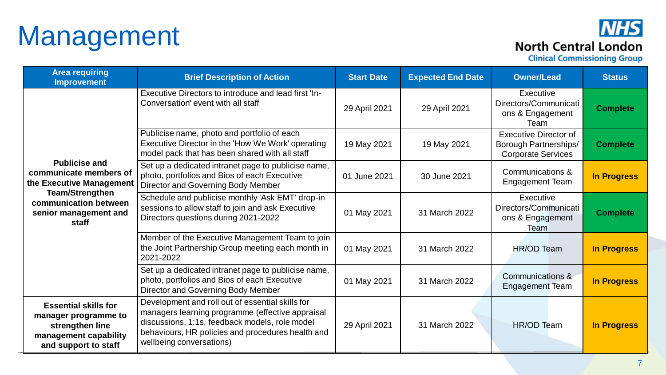## Management

### **NHS North Central London**

| <b>Area requiring</b><br><b>Improvement</b>                                                                             | <b>Brief Description of Action</b>                                                                                                                                                                                                      | <b>Start Date</b> | <b>Expected End Date</b> | <b>Owner/Lead</b>                                                                         | <b>Status</b>      |
|-------------------------------------------------------------------------------------------------------------------------|-----------------------------------------------------------------------------------------------------------------------------------------------------------------------------------------------------------------------------------------|-------------------|--------------------------|-------------------------------------------------------------------------------------------|--------------------|
|                                                                                                                         | Executive Directors to introduce and lead first 'In-<br>Conversation' event with all staff                                                                                                                                              | 29 April 2021     | 29 April 2021            | Executive<br>Directors/Communicati<br>ons & Engagement<br>Team                            | <b>Complete</b>    |
|                                                                                                                         | Publicise name, photo and portfolio of each<br>Executive Director in the 'How We Work' operating<br>model pack that has been shared with all staff                                                                                      | 19 May 2021       | 19 May 2021              | <b>Executive Director of</b><br><b>Borough Partnerships/</b><br><b>Corporate Services</b> | <b>Complete</b>    |
| <b>Publicise and</b><br>communicate members of<br>the Executive Management<br><b>Team/Strengthen</b>                    | Set up a dedicated intranet page to publicise name,<br>photo, portfolios and Bios of each Executive<br>Director and Governing Body Member                                                                                               | 01 June 2021      | 30 June 2021             | Communications &<br><b>Engagement Team</b>                                                | <b>In Progress</b> |
| communication between<br>senior management and<br>staff                                                                 | Schedule and publicise monthly 'Ask EMT' drop-in<br>sessions to allow staff to join and ask Executive<br>Directors questions during 2021-2022                                                                                           | 01 May 2021       | 31 March 2022            | Executive<br>Directors/Communicati<br>ons & Engagement<br>Team                            | <b>Complete</b>    |
|                                                                                                                         | Member of the Executive Management Team to join<br>the Joint Partnership Group meeting each month in<br>2021-2022                                                                                                                       | 01 May 2021       | 31 March 2022            | HR/OD Team                                                                                | <b>In Progress</b> |
|                                                                                                                         | Set up a dedicated intranet page to publicise name,<br>photo, portfolios and Bios of each Executive<br>Director and Governing Body Member                                                                                               | 01 May 2021       | 31 March 2022            | <b>Communications &amp;</b><br><b>Engagement Team</b>                                     | <b>In Progress</b> |
| <b>Essential skills for</b><br>manager programme to<br>strengthen line<br>management capability<br>and support to staff | Development and roll out of essential skills for<br>managers learning programme (effective appraisal<br>discussions, 1:1s, feedback models, role model<br>behaviours, HR policies and procedures health and<br>wellbeing conversations) | 29 April 2021     | 31 March 2022            | HR/OD Team                                                                                | <b>In Progress</b> |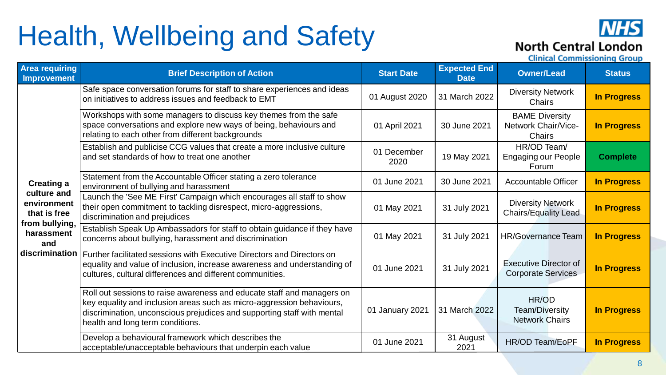## Health, Wellbeing and Safety



#### **North Central London**

| <b>Area requiring</b><br><b>Improvement</b>                                       | <b>Brief Description of Action</b>                                                                                                                                                                                                                             | <b>Start Date</b>   | <b>Expected End</b><br><b>Date</b> | <b>Owner/Lead</b>                                             | <b>Status</b>      |
|-----------------------------------------------------------------------------------|----------------------------------------------------------------------------------------------------------------------------------------------------------------------------------------------------------------------------------------------------------------|---------------------|------------------------------------|---------------------------------------------------------------|--------------------|
|                                                                                   | Safe space conversation forums for staff to share experiences and ideas<br>on initiatives to address issues and feedback to EMT                                                                                                                                | 01 August 2020      | 31 March 2022                      | <b>Diversity Network</b><br><b>Chairs</b>                     | <b>In Progress</b> |
|                                                                                   | Workshops with some managers to discuss key themes from the safe<br>space conversations and explore new ways of being, behaviours and<br>01 April 2021<br>relating to each other from different backgrounds                                                    |                     | 30 June 2021                       | <b>BAME Diversity</b><br>Network Chair/Vice-<br><b>Chairs</b> | <b>In Progress</b> |
|                                                                                   | Establish and publicise CCG values that create a more inclusive culture<br>and set standards of how to treat one another                                                                                                                                       | 01 December<br>2020 | 19 May 2021                        | HR/OD Team/<br><b>Engaging our People</b><br>Forum            | <b>Complete</b>    |
| <b>Creating a</b>                                                                 | Statement from the Accountable Officer stating a zero tolerance<br>environment of bullying and harassment                                                                                                                                                      | 01 June 2021        | 30 June 2021                       | <b>Accountable Officer</b>                                    | <b>In Progress</b> |
| culture and<br>environment<br>that is free<br>from bullying,<br>harassment<br>and | Launch the 'See ME First' Campaign which encourages all staff to show<br>their open commitment to tackling disrespect, micro-aggressions,<br>discrimination and prejudices                                                                                     | 01 May 2021         | 31 July 2021                       | <b>Diversity Network</b><br><b>Chairs/Equality Lead</b>       | <b>In Progress</b> |
|                                                                                   | Establish Speak Up Ambassadors for staff to obtain guidance if they have<br>concerns about bullying, harassment and discrimination                                                                                                                             | 01 May 2021         | 31 July 2021                       | <b>HR/Governance Team</b>                                     | <b>In Progress</b> |
|                                                                                   | discrimination   Further facilitated sessions with Executive Directors and Directors on<br>equality and value of inclusion, increase awareness and understanding of<br>cultures, cultural differences and different communities.                               | 01 June 2021        | 31 July 2021                       | <b>Executive Director of</b><br><b>Corporate Services</b>     | <b>In Progress</b> |
|                                                                                   | Roll out sessions to raise awareness and educate staff and managers on<br>key equality and inclusion areas such as micro-aggression behaviours,<br>discrimination, unconscious prejudices and supporting staff with mental<br>health and long term conditions. | 01 January 2021     | 31 March 2022                      | HR/OD<br>Team/Diversity<br><b>Network Chairs</b>              | <b>In Progress</b> |
|                                                                                   | Develop a behavioural framework which describes the<br>acceptable/unacceptable behaviours that underpin each value                                                                                                                                             | 01 June 2021        | 31 August<br>2021                  | <b>HR/OD Team/EoPF</b>                                        | <b>In Progress</b> |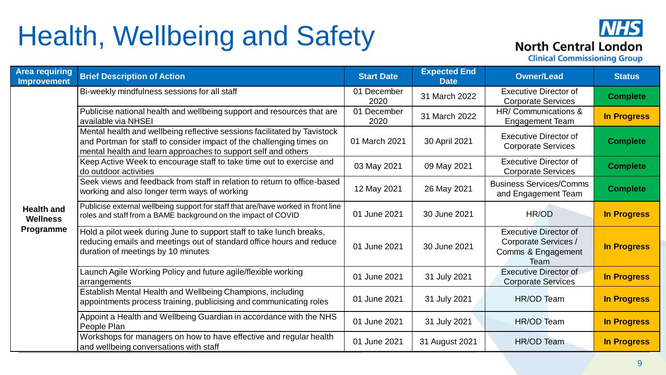## Health, Wellbeing and Safety



| <b>Area requiring</b><br><b>Improvement</b>       | <b>Brief Description of Action</b>                                                                                                                                                                                | <b>Start Date</b>   | <b>Expected End</b><br><b>Date</b> | <b>Owner/Lead</b>                                                                  | <b>Status</b>      |
|---------------------------------------------------|-------------------------------------------------------------------------------------------------------------------------------------------------------------------------------------------------------------------|---------------------|------------------------------------|------------------------------------------------------------------------------------|--------------------|
|                                                   | Bi-weekly mindfulness sessions for all staff                                                                                                                                                                      | 01 December<br>2020 | 31 March 2022                      | <b>Executive Director of</b><br><b>Corporate Services</b>                          | <b>Complete</b>    |
|                                                   | Publicise national health and wellbeing support and resources that are<br>available via NHSEI                                                                                                                     | 01 December<br>2020 | 31 March 2022                      | HR/Communications &<br><b>Engagement Team</b>                                      | <b>In Progress</b> |
|                                                   | Mental health and wellbeing reflective sessions facilitated by Tavistock<br>and Portman for staff to consider impact of the challenging times on<br>mental health and learn approaches to support self and others | 01 March 2021       | 30 April 2021                      | <b>Executive Director of</b><br><b>Corporate Services</b>                          | <b>Complete</b>    |
|                                                   | Keep Active Week to encourage staff to take time out to exercise and<br>do outdoor activities                                                                                                                     | 03 May 2021         | 09 May 2021                        | <b>Executive Director of</b><br><b>Corporate Services</b>                          | <b>Complete</b>    |
| <b>Health and</b><br><b>Wellness</b><br>Programme | Seek views and feedback from staff in relation to return to office-based<br>working and also longer term ways of working                                                                                          | 12 May 2021         | 26 May 2021                        | <b>Business Services/Comms</b><br>and Engagement Team                              | <b>Complete</b>    |
|                                                   | Publicise external wellbeing support for staff that are/have worked in front line<br>roles and staff from a BAME background on the impact of COVID                                                                | 01 June 2021        | 30 June 2021                       | HR/OD                                                                              | <b>In Progress</b> |
|                                                   | Hold a pilot week during June to support staff to take lunch breaks,<br>reducing emails and meetings out of standard office hours and reduce<br>duration of meetings by 10 minutes                                | 01 June 2021        | 30 June 2021                       | <b>Executive Director of</b><br>Corporate Services /<br>Comms & Engagement<br>Team | <b>In Progress</b> |
|                                                   | Launch Agile Working Policy and future agile/flexible working<br>arrangements                                                                                                                                     | 01 June 2021        | 31 July 2021                       | <b>Executive Director of</b><br><b>Corporate Services</b>                          | <b>In Progress</b> |
|                                                   | Establish Mental Health and Wellbeing Champions, including<br>appointments process training, publicising and communicating roles                                                                                  | 01 June 2021        | 31 July 2021                       | HR/OD Team                                                                         | <b>In Progress</b> |
|                                                   | Appoint a Health and Wellbeing Guardian in accordance with the NHS<br>People Plan                                                                                                                                 | 01 June 2021        | 31 July 2021                       | HR/OD Team                                                                         | <b>In Progress</b> |
|                                                   | Workshops for managers on how to have effective and regular health<br>and wellbeing conversations with staff                                                                                                      | 01 June 2021        | 31 August 2021                     | <b>HR/OD Team</b>                                                                  | <b>In Progress</b> |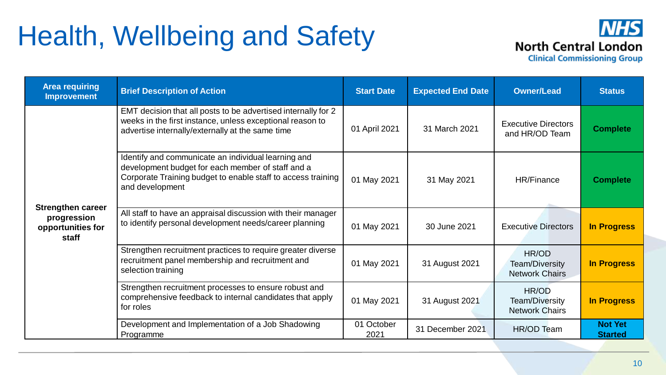### Health, Wellbeing and Safety



| <b>Area requiring</b><br><b>Improvement</b>                           | <b>Brief Description of Action</b>                                                                                                                                                          | <b>Start Date</b>  | <b>Expected End Date</b> | <b>Owner/Lead</b>                                | <b>Status</b>                    |
|-----------------------------------------------------------------------|---------------------------------------------------------------------------------------------------------------------------------------------------------------------------------------------|--------------------|--------------------------|--------------------------------------------------|----------------------------------|
| <b>Strengthen career</b><br>progression<br>opportunities for<br>staff | EMT decision that all posts to be advertised internally for 2<br>weeks in the first instance, unless exceptional reason to<br>advertise internally/externally at the same time              | 01 April 2021      | 31 March 2021            | <b>Executive Directors</b><br>and HR/OD Team     | <b>Complete</b>                  |
|                                                                       | Identify and communicate an individual learning and<br>development budget for each member of staff and a<br>Corporate Training budget to enable staff to access training<br>and development | 01 May 2021        | 31 May 2021              | HR/Finance                                       | <b>Complete</b>                  |
|                                                                       | All staff to have an appraisal discussion with their manager<br>to identify personal development needs/career planning                                                                      | 01 May 2021        | 30 June 2021             | <b>Executive Directors</b>                       | <b>In Progress</b>               |
|                                                                       | Strengthen recruitment practices to require greater diverse<br>recruitment panel membership and recruitment and<br>selection training                                                       | 01 May 2021        | 31 August 2021           | HR/OD<br>Team/Diversity<br><b>Network Chairs</b> | <b>In Progress</b>               |
|                                                                       | Strengthen recruitment processes to ensure robust and<br>comprehensive feedback to internal candidates that apply<br>for roles                                                              | 01 May 2021        | 31 August 2021           | HR/OD<br>Team/Diversity<br><b>Network Chairs</b> | <b>In Progress</b>               |
|                                                                       | Development and Implementation of a Job Shadowing<br>Programme                                                                                                                              | 01 October<br>2021 | 31 December 2021         | <b>HR/OD Team</b>                                | <b>Not Yet</b><br><b>Started</b> |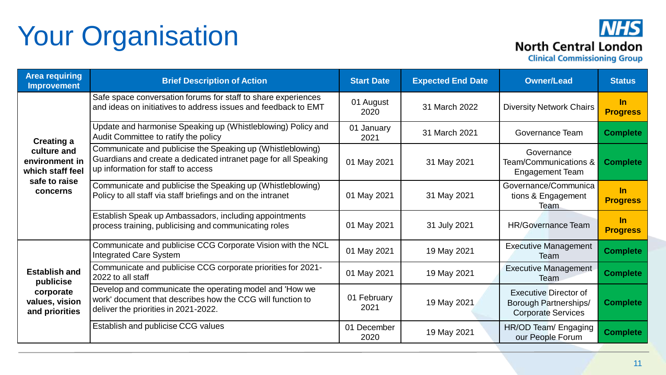# Your Organisation

### **NHS North Central London**

| <b>Area requiring</b><br><b>Improvement</b>                                        | <b>Brief Description of Action</b>                                                                                                                                  | <b>Start Date</b>   | <b>Expected End Date</b> | <b>Owner/Lead</b>                                                                         | <b>Status</b>            |
|------------------------------------------------------------------------------------|---------------------------------------------------------------------------------------------------------------------------------------------------------------------|---------------------|--------------------------|-------------------------------------------------------------------------------------------|--------------------------|
|                                                                                    | Safe space conversation forums for staff to share experiences<br>and ideas on initiatives to address issues and feedback to EMT                                     | 01 August<br>2020   | 31 March 2022            | <b>Diversity Network Chairs</b>                                                           | $\ln$<br><b>Progress</b> |
| <b>Creating a</b>                                                                  | Update and harmonise Speaking up (Whistleblowing) Policy and<br>Audit Committee to ratify the policy                                                                | 01 January<br>2021  | 31 March 2021            | <b>Governance Team</b>                                                                    | <b>Complete</b>          |
| culture and<br>environment in<br>which staff feel<br>safe to raise<br>concerns     | Communicate and publicise the Speaking up (Whistleblowing)<br>Guardians and create a dedicated intranet page for all Speaking<br>up information for staff to access | 01 May 2021         | 31 May 2021              | Governance<br>Team/Communications &<br><b>Engagement Team</b>                             | <b>Complete</b>          |
|                                                                                    | Communicate and publicise the Speaking up (Whistleblowing)<br>Policy to all staff via staff briefings and on the intranet                                           | 01 May 2021         | 31 May 2021              | Governance/Communica<br>tions & Engagement<br>Team                                        | $\ln$<br><b>Progress</b> |
|                                                                                    | Establish Speak up Ambassadors, including appointments<br>process training, publicising and communicating roles                                                     | 01 May 2021         | 31 July 2021             | <b>HR/Governance Team</b>                                                                 | $\ln$<br><b>Progress</b> |
| <b>Establish and</b><br>publicise<br>corporate<br>values, vision<br>and priorities | Communicate and publicise CCG Corporate Vision with the NCL<br><b>Integrated Care System</b>                                                                        | 01 May 2021         | 19 May 2021              | <b>Executive Management</b><br>Team                                                       | <b>Complete</b>          |
|                                                                                    | Communicate and publicise CCG corporate priorities for 2021-<br>2022 to all staff                                                                                   | 01 May 2021         | 19 May 2021              | <b>Executive Management</b><br>Team                                                       | <b>Complete</b>          |
|                                                                                    | Develop and communicate the operating model and 'How we<br>work' document that describes how the CCG will function to<br>deliver the priorities in 2021-2022.       | 01 February<br>2021 | 19 May 2021              | <b>Executive Director of</b><br><b>Borough Partnerships/</b><br><b>Corporate Services</b> | <b>Complete</b>          |
|                                                                                    | Establish and publicise CCG values                                                                                                                                  | 01 December<br>2020 | 19 May 2021              | HR/OD Team/ Engaging<br>our People Forum                                                  | <b>Complete</b>          |